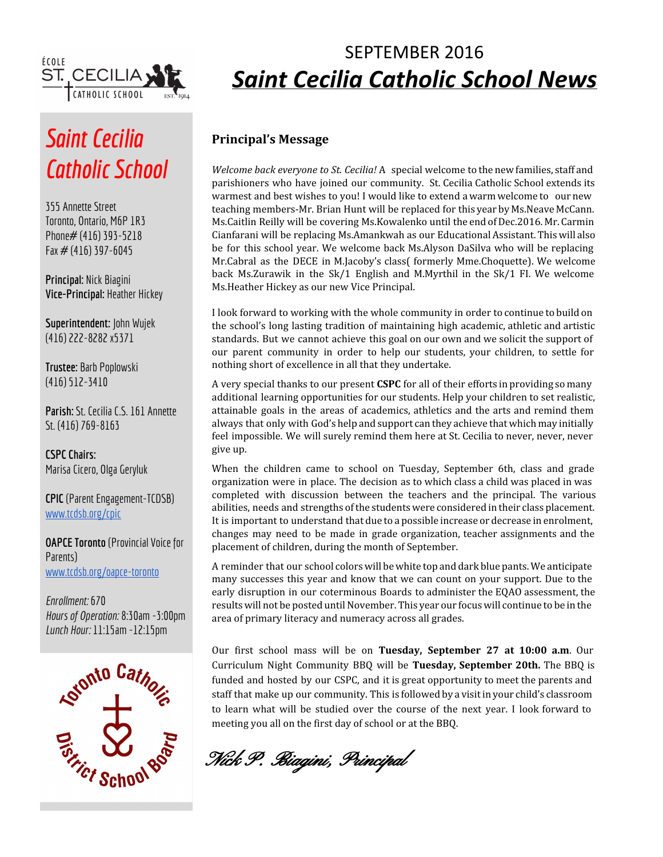

# *Saint Cecilia Catholic School*

355 Annette Street Toronto, Ontario, M6P 1R3 Phone# (416) 393-5218 Fax  $#$  (416) 397-6045

**Principal:** Nick Biagini **Vice-Principal:** Heather Hickey

**Superintendent:** John Wujek (416) 222-8282 x5371

**Trustee:** Barb Poplowski (416) 512-3410

**Parish:** St. Cecilia C.S. 161 Annette St. (416) 769-8163

**CSPC Chairs:** Marisa Cicero, Olga Geryluk

**CPIC** (Parent Engagement-TCDSB) [www.tcdsb.org/cpic](http://www.tcdsb.org/cpic)

**OAPCE Toronto** (Provincial Voice for Parents) [www.tcdsb.org/oapce-toronto](http://www.tcdsb.org/oapce-toronto)

*Enrollment:* 670 *Hours of Operation:* 8:30am -3:00pm *Lunch Hour:* 11:15am -12:15pm



# SEPTEMBER 2016 *Saint Cecilia Catholic School News*

# **Principal's Message**

*Welcome back everyone to St. Cecilia!* A special welcome to the new families, staff and parishioners who have joined our community. St. Cecilia Catholic School extends its warmest and best wishes to you! I would like to extend awarm welcome to our new teaching members-Mr. Brian Hunt will be replaced for this year by Ms.Neave McCann. Ms.Caitlin Reilly will be covering Ms.Kowalenko until the end ofDec.2016. Mr. Carmin Cianfarani will be replacing Ms.Amankwah as our Educational Assistant. This will also be for this school year. We welcome back Ms.Alyson DaSilva who will be replacing Mr.Cabral as the DECE in M.Jacoby's class( formerly Mme.Choquette). We welcome back Ms.Zurawik in the Sk/1 English and M.Myrthil in the Sk/1 FI. We welcome Ms.Heather Hickey as our new Vice Principal.

I look forward to working with the whole community in order to continue to build on the school's long lasting tradition of maintaining high academic, athletic and artistic standards. But we cannot achieve this goal on our own and we solicit the support of our parent community in order to help our students, your children, to settle for nothing short of excellence in all that they undertake.

A very special thanks to our present **CSPC** for all of their efforts in providing so many additional learning opportunities for our students. Help your children to set realistic, attainable goals in the areas of academics, athletics and the arts and remind them always that only with God's help and support can they achieve that which may initially feel impossible. We will surely remind them here at St. Cecilia to never, never, never give up.

When the children came to school on Tuesday, September 6th, class and grade organization were in place. The decision as to which class a child was placed in was completed with discussion between the teachers and the principal. The various abilities, needs and strengths of the students were considered in their class placement. It is important to understand that due to a possible increase or decrease in enrolment, changes may need to be made in grade organization, teacher assignments and the placement of children, during the month of September.

A reminder that our school colors will be white top and dark blue pants. We anticipate many successes this year and know that we can count on your support. Due to the early disruption in our coterminous Boards to administer the EQAO assessment, the results will not be posted until November. This year our focus will continue to be in the area of primary literacy and numeracy across all grades.

Our first school mass will be on **Tuesday, September 27 at 10:00 a.m**. Our Curriculum Night Community BBQ will be **Tuesday, September 20th.** The BBQ is funded and hosted by our CSPC, and it is great opportunity to meet the parents and staff that make up our community. This is followed by a visitin your child's classroom to learn what will be studied over the course of the next year. I look forward to meeting you all on the first day of school or at the BBQ.

<sup>1</sup>Ct <sub>Octa</sub>n 18<sup>8</sup> Nick P. Biagini, Principal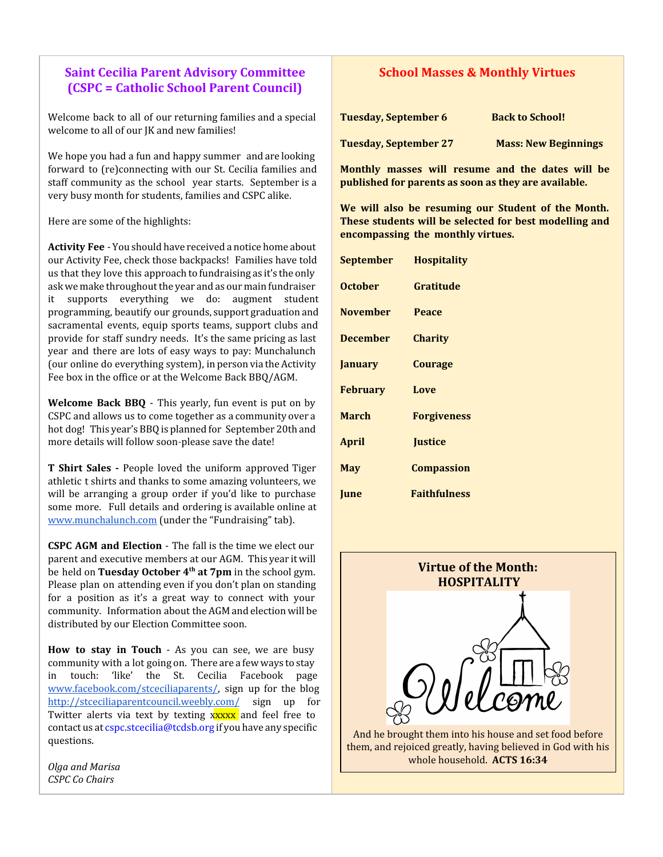## **Saint Cecilia Parent Advisory Committee (CSPC = Catholic School Parent Council)**

Welcome back to all of our returning families and a special welcome to all of our JK and new families!

We hope you had a fun and happy summer and are looking forward to (re)connecting with our St. Cecilia families and staff community as the school year starts. September is a very busy month for students, families and CSPC alike.

Here are some of the highlights:

**Activity Fee** You should have received a notice home about our Activity Fee, check those backpacks! Families have told us that they love this approach to fundraising as it's the only ask we make throughout the year and as our main fundraiser it supports everything we do: augment student programming, beautify our grounds, support graduation and sacramental events, equip sports teams, support clubs and provide for staff sundry needs. It's the same pricing as last year and there are lots of easy ways to pay: Munchalunch (our online do everything system), in person via the Activity Fee box in the office or at the Welcome Back BBQ/AGM.

**Welcome Back BBQ** - This yearly, fun event is put on by CSPC and allows us to come together as a community over a hot dog! This year's BBQ is planned for September 20th and more details will follow soon-please save the date!

**T Shirt Sales** People loved the uniform approved Tiger athletic t shirts and thanks to some amazing volunteers, we will be arranging a group order if you'd like to purchase some more. Full details and ordering is available online a[t](http://www.munchalunch.com/) [www.munchalunch.com](http://www.munchalunch.com/) (under the "Fundraising" tab).

**CSPC AGM and Election** The fall is the time we elect our parent and executive members at our AGM. This year it will be held on **Tuesday October 4 th at 7pm** in the school gym. Please plan on attending even if you don't plan on standing for a position as it's a great way to connect with your community. Information about the AGM and election will be distributed by our Election Committee soon.

**How to stay in Touch** As you can see, we are busy community with a lot going on. There are a few ways to stay in touch: 'like' the St. Cecilia Facebook pag[e](http://stceciliaparentcouncil.weebly.com/) [www.facebook.com/stceciliaparents/,](http://stceciliaparentcouncil.weebly.com/) sign up for the blog <http://stceciliaparentcouncil.weebly.com/> sign up for Twitter alerts via text by texting xxxxx and feel free to contact us at cspc.stcecilia@tcdsb.org if you have any specific questions.

*Olga and Marisa CSPC Co Chairs*

#### **School Masses & Monthly Virtues**

| <b>Tuesday, September 6</b>  | <b>Back to School!</b>      |
|------------------------------|-----------------------------|
| <b>Tuesday, September 27</b> | <b>Mass: New Beginnings</b> |

**Monthly masses will resume and the dates will be published for parents as soon as they are available.**

**We will also be resuming our Student of the Month. These students will be selected for best modelling and encompassing the monthly virtues.**

| <b>September</b> | <b>Hospitality</b>  |
|------------------|---------------------|
| <b>October</b>   | Gratitude           |
| <b>November</b>  | Peace               |
| <b>December</b>  | <b>Charity</b>      |
| <b>January</b>   | <b>Courage</b>      |
| <b>February</b>  | Love                |
| <b>March</b>     | <b>Forgiveness</b>  |
| <b>April</b>     | <b>Justice</b>      |
| <b>May</b>       | <b>Compassion</b>   |
| <b>June</b>      | <b>Faithfulness</b> |



And he brought them into his house and set food before them, and rejoiced greatly, having believed in God with his whole household.  **ACTS 16:34**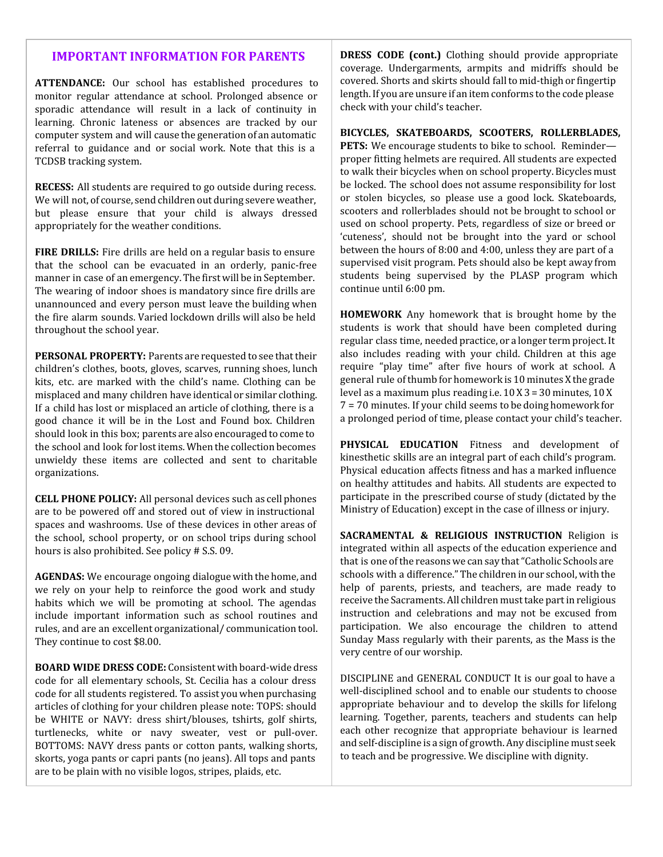#### **IMPORTANT INFORMATION FOR PARENTS**

**ATTENDANCE:** Our school has established procedures to monitor regular attendance at school. Prolonged absence or sporadic attendance will result in a lack of continuity in learning. Chronic lateness or absences are tracked by our computer system and will cause the generation of an automatic referral to guidance and or social work. Note that this is a TCDSB tracking system.

**RECESS:** All students are required to go outside during recess. We will not, of course, send children out during severe weather, but please ensure that your child is always dressed appropriately for the weather conditions.

**FIRE DRILLS:** Fire drills are held on a regular basis to ensure that the school can be evacuated in an orderly, panic-free manner in case of an emergency. The first will be in September. The wearing of indoor shoes is mandatory since fire drills are unannounced and every person must leave the building when the fire alarm sounds. Varied lockdown drills will also be held throughout the school year.

PERSONAL PROPERTY: Parents are requested to see that their children's clothes, boots, gloves, scarves, running shoes, lunch kits, etc. are marked with the child's name. Clothing can be misplaced and many children have identical or similar clothing. If a child has lost or misplaced an article of clothing, there is a good chance it will be in the Lost and Found box. Children should look in this box; parents are also encouraged to come to the school and look for lostitems. When the collection becomes unwieldy these items are collected and sent to charitable organizations.

**CELL PHONE POLICY:** All personal devices such as cell phones are to be powered off and stored out of view in instructional spaces and washrooms. Use of these devices in other areas of the school, school property, or on school trips during school hours is also prohibited. See policy # S.S. 09.

**AGENDAS:** We encourage ongoing dialogue with the home, and we rely on your help to reinforce the good work and study habits which we will be promoting at school. The agendas include important information such as school routines and rules, and are an excellent organizational/ communication tool. They continue to cost \$8.00.

**BOARD WIDE DRESS CODE:** Consistent with board-wide dress code for all elementary schools, St. Cecilia has a colour dress code for all students registered. To assist you when purchasing articles of clothing for your children please note: TOPS: should be WHITE or NAVY: dress shirt/blouses, tshirts, golf shirts, turtlenecks, white or navy sweater, vest or pull-over. BOTTOMS: NAVY dress pants or cotton pants, walking shorts, skorts, yoga pants or capri pants (no jeans). All tops and pants are to be plain with no visible logos, stripes, plaids, etc.

**DRESS CODE (cont.)** Clothing should provide appropriate coverage. Undergarments, armpits and midriffs should be covered. Shorts and skirts should fall to mid-thigh or fingertip length.If you are unsure if an item conforms to the code please check with your child's teacher.

**BICYCLES, SKATEBOARDS, SCOOTERS, ROLLERBLADES, PETS:** We encourage students to bike to school. Reminder proper fitting helmets are required. All students are expected to walk their bicycles when on school property. Bicycles must be locked. The school does not assume responsibility for lost or stolen bicycles, so please use a good lock. Skateboards, scooters and rollerblades should not be brought to school or used on school property. Pets, regardless of size or breed or 'cuteness', should not be brought into the yard or school between the hours of 8:00 and 4:00, unless they are part of a supervised visit program. Pets should also be kept away from students being supervised by the PLASP program which continue until 6:00 pm.

**HOMEWORK** Any homework that is brought home by the students is work that should have been completed during regular class time, needed practice, or a longer term project.It also includes reading with your child. Children at this age require "play time" after five hours of work at school. A general rule ofthumb for homework is 10 minutes X the grade level as a maximum plus reading i.e.  $10 X 3 = 30$  minutes,  $10 X$ 7 = 70 minutes. If your child seems to be doing homework for a prolonged period of time, please contact your child's teacher.

**PHYSICAL EDUCATION** Fitness and development of kinesthetic skills are an integral part of each child's program. Physical education affects fitness and has a marked influence on healthy attitudes and habits. All students are expected to participate in the prescribed course of study (dictated by the Ministry of Education) except in the case of illness or injury.

**SACRAMENTAL & RELIGIOUS INSTRUCTION** Religion is integrated within all aspects of the education experience and that is one of the reasons we can say that "Catholic Schools are schools with a difference." The children in our school, with the help of parents, priests, and teachers, are made ready to receive the Sacraments. All children must take part in religious instruction and celebrations and may not be excused from participation. We also encourage the children to attend Sunday Mass regularly with their parents, as the Mass is the very centre of our worship.

DISCIPLINE and GENERAL CONDUCT It is our goal to have a well-disciplined school and to enable our students to choose appropriate behaviour and to develop the skills for lifelong learning. Together, parents, teachers and students can help each other recognize that appropriate behaviour is learned and self-discipline is a sign of growth. Any discipline must seek to teach and be progressive. We discipline with dignity.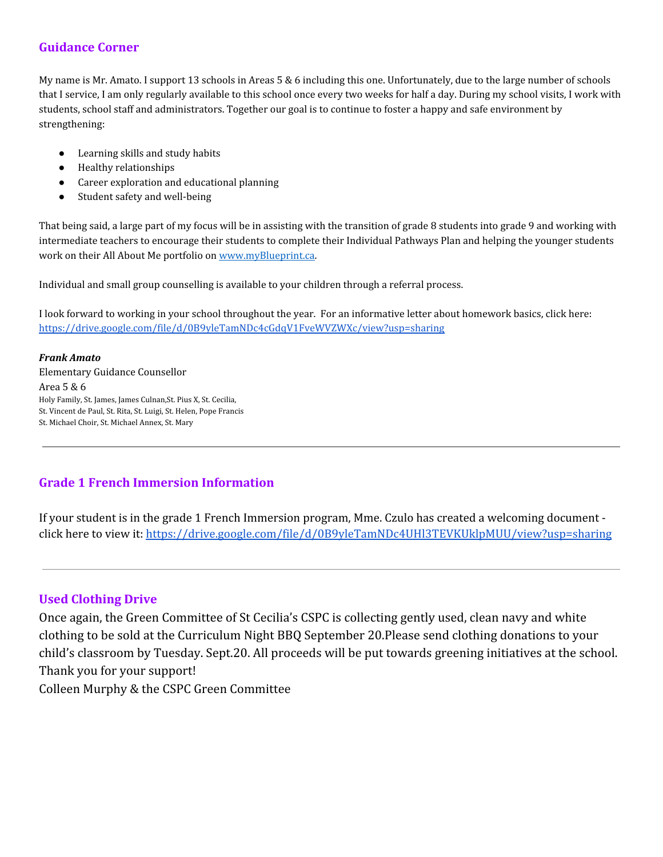# **Guidance Corner**

My name is Mr. Amato. I support 13 schools in Areas 5 & 6 including this one. Unfortunately, due to the large number of schools that I service, I am only regularly available to this school once every two weeks for half a day. During my school visits, I work with students, school staff and administrators. Together our goal is to continue to foster a happy and safe environment by strengthening:

- Learning skills and study habits
- Healthy relationships
- Career exploration and educational planning
- Student safety and well-being

That being said, a large part of my focus will be in assisting with the transition of grade 8 students into grade 9 and working with intermediate teachers to encourage their students to complete their Individual Pathways Plan and helping the younger students work on their All About Me portfolio on [www.myBlueprint.ca.](http://www.myblueprint.ca/)

Individual and small group counselling is available to your children through a referral process.

I look forward to working in your school throughout the year. For an informative letter about homework basics, click here: <https://drive.google.com/file/d/0B9yleTamNDc4cGdqV1FveWVZWXc/view?usp=sharing>

*Frank Amato* Elementary Guidance Counsellor Area 5 & 6 Holy Family, St. James, James Culnan,St. Pius X, St. Cecilia, St. Vincent de Paul, St. Rita, St. Luigi, St. Helen, Pope Francis St. Michael Choir, St. Michael Annex, St. Mary

## **Grade 1 French Immersion Information**

If your student is in the grade 1 French Immersion program, Mme. Czulo has created a welcoming document click here to view it:<https://drive.google.com/file/d/0B9yleTamNDc4UHl3TEVKUklpMUU/view?usp=sharing>

#### **Used Clothing Drive**

Once again, the Green Committee of St Cecilia's CSPC is collecting gently used, clean navy and white clothing to be sold at the Curriculum Night BBQ September 20.Please send clothing donations to your child's classroom by Tuesday. Sept.20. All proceeds will be put towards greening initiatives at the school. Thank you for your support!

Colleen Murphy & the CSPC Green Committee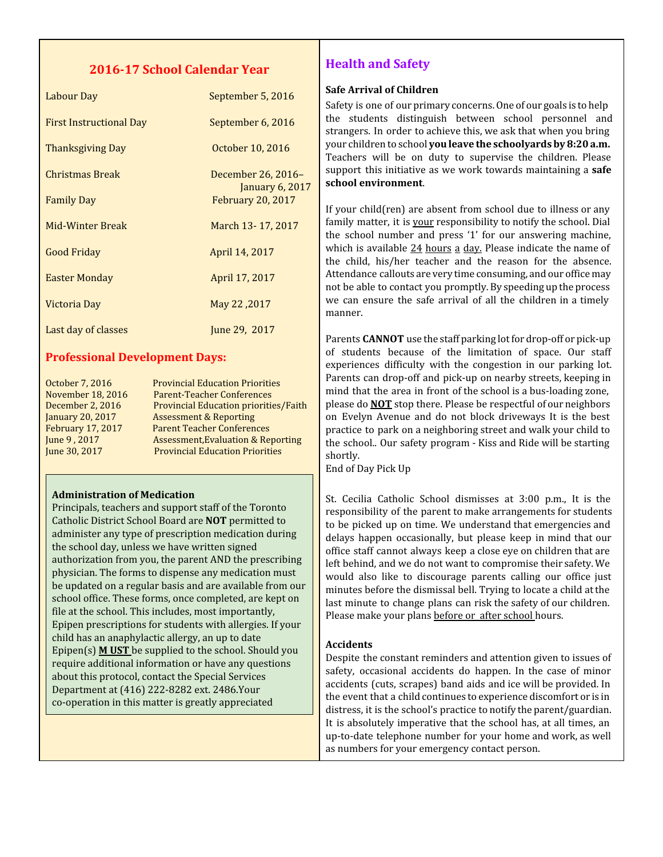#### **201617 School Calendar Year**

| Labour Day                     | September 5, 2016                     |
|--------------------------------|---------------------------------------|
| <b>First Instructional Day</b> | September 6, 2016                     |
| <b>Thanksgiving Day</b>        | October 10, 2016                      |
| Christmas Break                | December 26, 2016-<br>January 6, 2017 |
| <b>Family Day</b>              | <b>February 20, 2017</b>              |
| Mid-Winter Break               | March 13 - 17, 2017                   |
| <b>Good Friday</b>             | April 14, 2017                        |
| Easter Monday                  | April 17, 2017                        |
| Victoria Day                   | 2017, May 22                          |
| Last day of classes            | June 29, 2017                         |

#### **Professional Development Days:**

October 7, 2016 Provincial Education Priorities November 18, 2016 ParentTeacher Conferences December 2, 2016 Provincial Education priorities/Faith January 20, 2017 Assessment & Reporting February 17, 2017 Parent Teacher Conferences June 9 , 2017 Assessment,Evaluation & Reporting June 30, 2017 Provincial Education Priorities

#### **Administration of Medication**

Principals, teachers and support staff of the Toronto Catholic District School Board are **NOT** permitted to administer any type of prescription medication during the school day, unless we have written signed authorization from you, the parent AND the prescribing physician. The forms to dispense any medication must be updated on a regular basis and are available from our school office. These forms, once completed, are kept on file at the school. This includes, most importantly, Epipen prescriptions for students with allergies. If your child has an anaphylactic allergy, an up to date Epipen(s) **M UST** be supplied to the school. Should you require additional information or have any questions about this protocol, contact the Special Services Department at (416) 222-8282 ext. 2486.Your co-operation in this matter is greatly appreciated

# **Health and Safety**

#### **Safe Arrival of Children**

Safety is one of our primary concerns. One of our goals is to help the students distinguish between school personnel and strangers. In order to achieve this, we ask that when you bring your children to school **you leave the schoolyards by 8:20 a.m.** Teachers will be on duty to supervise the children. Please support this initiative as we work towards maintaining a **safe school environment**.

If your child(ren) are absent from school due to illness or any family matter, it is your responsibility to notify the school. Dial the school number and press '1' for our answering machine, which is available  $24$  hours a day. Please indicate the name of the child, his/her teacher and the reason for the absence. Attendance callouts are very time consuming, and our office may not be able to contact you promptly. By speeding up the process we can ensure the safe arrival of all the children in a timely manner.

Parents **CANNOT** use the staff parking lot for drop-off or pick-up of students because of the limitation of space. Our staff experiences difficulty with the congestion in our parking lot. Parents can drop-off and pick-up on nearby streets, keeping in mind that the area in front of the school is a bus-loading zone, please do **NOT** stop there. Please be respectful of our neighbors on Evelyn Avenue and do not block driveways It is the best practice to park on a neighboring street and walk your child to the school.. Our safety program - Kiss and Ride will be starting shortly.

End of Day Pick Up

St. Cecilia Catholic School dismisses at 3:00 p.m., It is the responsibility of the parent to make arrangements for students to be picked up on time. We understand that emergencies and delays happen occasionally, but please keep in mind that our office staff cannot always keep a close eye on children that are left behind, and we do not want to compromise their safety. We would also like to discourage parents calling our office just minutes before the dismissal bell. Trying to locate a child atthe last minute to change plans can risk the safety of our children. Please make your plans before or after school hours.

#### **Accidents**

Despite the constant reminders and attention given to issues of safety, occasional accidents do happen. In the case of minor accidents (cuts, scrapes) band aids and ice will be provided. In the event that a child continues to experience discomfort or is in distress, it is the school's practice to notify the parent/guardian. It is absolutely imperative that the school has, at all times, an up-to-date telephone number for your home and work, as well as numbers for your emergency contact person.